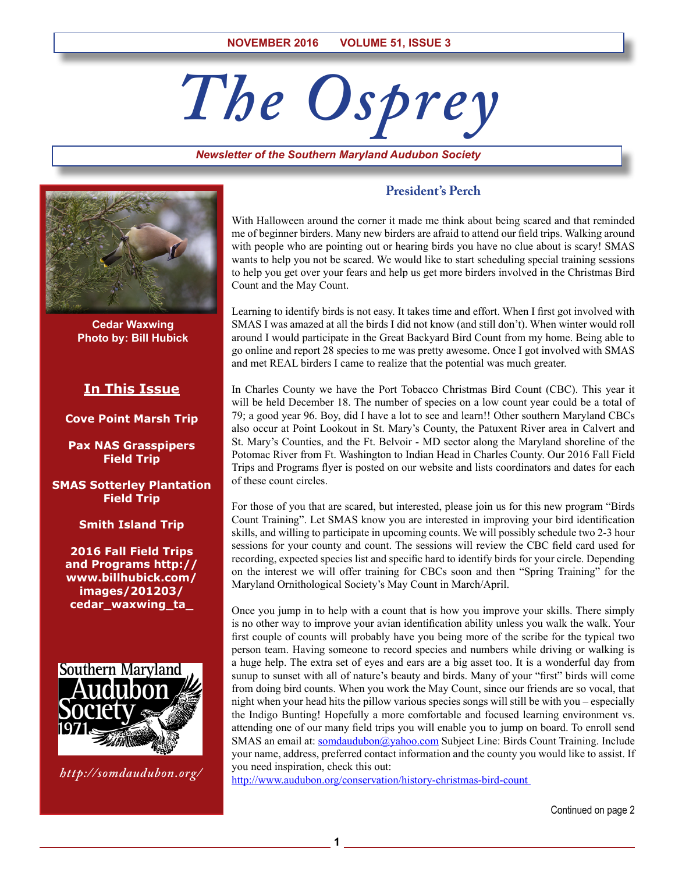# *The Osprey*

*Newsletter of the Southern Maryland Audubon Society*



**Cedar Waxwing Photo by: Bill Hubick**

# **In This Issue**

#### **Cove Point Marsh Trip**

**Pax NAS Grasspipers Field Trip**

**SMAS Sotterley Plantation Field Trip**

#### **Smith Island Trip**

**2016 Fall Field Trips and Programs http:// www.billhubick.com/ images/201203/ cedar\_waxwing\_ta\_**



*http://somdaudubon.org/*

# **President's Perch**

With Halloween around the corner it made me think about being scared and that reminded me of beginner birders. Many new birders are afraid to attend our field trips. Walking around with people who are pointing out or hearing birds you have no clue about is scary! SMAS wants to help you not be scared. We would like to start scheduling special training sessions to help you get over your fears and help us get more birders involved in the Christmas Bird Count and the May Count.

Learning to identify birds is not easy. It takes time and effort. When I first got involved with SMAS I was amazed at all the birds I did not know (and still don't). When winter would roll around I would participate in the Great Backyard Bird Count from my home. Being able to go online and report 28 species to me was pretty awesome. Once I got involved with SMAS and met REAL birders I came to realize that the potential was much greater.

In Charles County we have the Port Tobacco Christmas Bird Count (CBC). This year it will be held December 18. The number of species on a low count year could be a total of 79; a good year 96. Boy, did I have a lot to see and learn!! Other southern Maryland CBCs also occur at Point Lookout in St. Mary's County, the Patuxent River area in Calvert and St. Mary's Counties, and the Ft. Belvoir - MD sector along the Maryland shoreline of the Potomac River from Ft. Washington to Indian Head in Charles County. Our 2016 Fall Field Trips and Programs flyer is posted on our website and lists coordinators and dates for each of these count circles.

For those of you that are scared, but interested, please join us for this new program "Birds Count Training". Let SMAS know you are interested in improving your bird identification skills, and willing to participate in upcoming counts. We will possibly schedule two 2-3 hour sessions for your county and count. The sessions will review the CBC field card used for recording, expected species list and specific hard to identify birds for your circle. Depending on the interest we will offer training for CBCs soon and then "Spring Training" for the Maryland Ornithological Society's May Count in March/April.

Once you jump in to help with a count that is how you improve your skills. There simply is no other way to improve your avian identification ability unless you walk the walk. Your first couple of counts will probably have you being more of the scribe for the typical two person team. Having someone to record species and numbers while driving or walking is a huge help. The extra set of eyes and ears are a big asset too. It is a wonderful day from sunup to sunset with all of nature's beauty and birds. Many of your "first" birds will come from doing bird counts. When you work the May Count, since our friends are so vocal, that night when your head hits the pillow various species songs will still be with you – especially the Indigo Bunting! Hopefully a more comfortable and focused learning environment vs. attending one of our many field trips you will enable you to jump on board. To enroll send SMAS an email at: somdaudubon@yahoo.com Subject Line: Birds Count Training. Include your name, address, preferred contact information and the county you would like to assist. If you need inspiration, check this out:

http://www.audubon.org/conservation/history-christmas-bird-count

**1**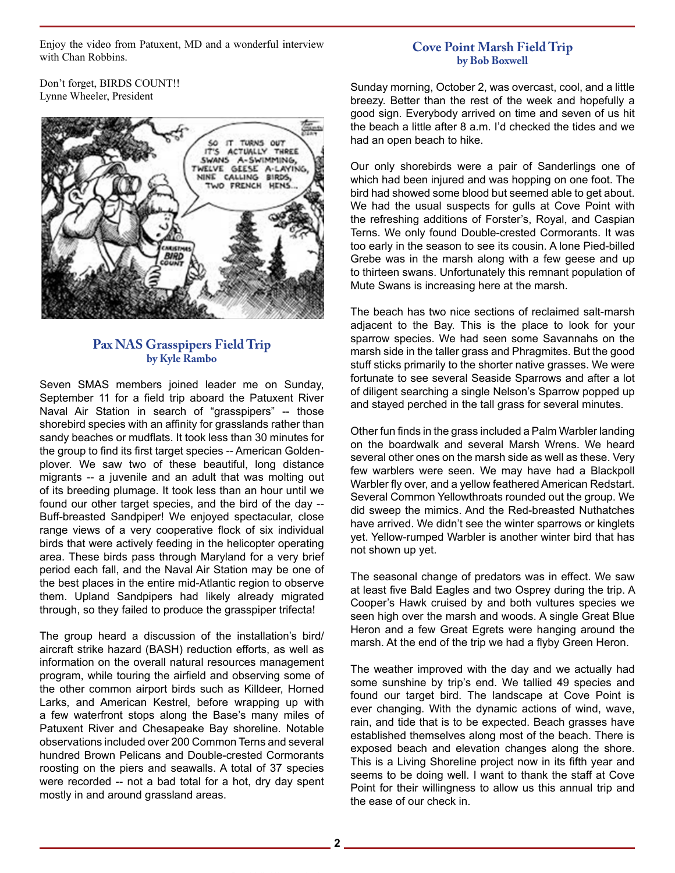Enjoy the video from Patuxent, MD and a wonderful interview with Chan Robbins.

## **Cove Point Marsh Field Trip by Bob Boxwell**

Don't forget, BIRDS COUNT!! Lynne Wheeler, President



# **Pax NAS Grasspipers Field Trip by Kyle Rambo**

Seven SMAS members joined leader me on Sunday, September 11 for a field trip aboard the Patuxent River Naval Air Station in search of "grasspipers" -- those shorebird species with an affinity for grasslands rather than sandy beaches or mudflats. It took less than 30 minutes for the group to find its first target species -- American Goldenplover. We saw two of these beautiful, long distance migrants -- a juvenile and an adult that was molting out of its breeding plumage. It took less than an hour until we found our other target species, and the bird of the day -- Buff-breasted Sandpiper! We enjoyed spectacular, close range views of a very cooperative flock of six individual birds that were actively feeding in the helicopter operating area. These birds pass through Maryland for a very brief period each fall, and the Naval Air Station may be one of the best places in the entire mid-Atlantic region to observe them. Upland Sandpipers had likely already migrated through, so they failed to produce the grasspiper trifecta!

The group heard a discussion of the installation's bird/ aircraft strike hazard (BASH) reduction efforts, as well as information on the overall natural resources management program, while touring the airfield and observing some of the other common airport birds such as Killdeer, Horned Larks, and American Kestrel, before wrapping up with a few waterfront stops along the Base's many miles of Patuxent River and Chesapeake Bay shoreline. Notable observations included over 200 Common Terns and several hundred Brown Pelicans and Double-crested Cormorants roosting on the piers and seawalls. A total of 37 species were recorded -- not a bad total for a hot, dry day spent mostly in and around grassland areas.

Sunday morning, October 2, was overcast, cool, and a little breezy. Better than the rest of the week and hopefully a good sign. Everybody arrived on time and seven of us hit the beach a little after 8 a.m. I'd checked the tides and we had an open beach to hike.

Our only shorebirds were a pair of Sanderlings one of which had been injured and was hopping on one foot. The bird had showed some blood but seemed able to get about. We had the usual suspects for gulls at Cove Point with the refreshing additions of Forster's, Royal, and Caspian Terns. We only found Double-crested Cormorants. It was too early in the season to see its cousin. A lone Pied-billed Grebe was in the marsh along with a few geese and up to thirteen swans. Unfortunately this remnant population of Mute Swans is increasing here at the marsh.

The beach has two nice sections of reclaimed salt-marsh adjacent to the Bay. This is the place to look for your sparrow species. We had seen some Savannahs on the marsh side in the taller grass and Phragmites. But the good stuff sticks primarily to the shorter native grasses. We were fortunate to see several Seaside Sparrows and after a lot of diligent searching a single Nelson's Sparrow popped up and stayed perched in the tall grass for several minutes.

Other fun finds in the grass included a Palm Warbler landing on the boardwalk and several Marsh Wrens. We heard several other ones on the marsh side as well as these. Very few warblers were seen. We may have had a Blackpoll Warbler fly over, and a yellow feathered American Redstart. Several Common Yellowthroats rounded out the group. We did sweep the mimics. And the Red-breasted Nuthatches have arrived. We didn't see the winter sparrows or kinglets yet. Yellow-rumped Warbler is another winter bird that has not shown up yet.

The seasonal change of predators was in effect. We saw at least five Bald Eagles and two Osprey during the trip. A Cooper's Hawk cruised by and both vultures species we seen high over the marsh and woods. A single Great Blue Heron and a few Great Egrets were hanging around the marsh. At the end of the trip we had a flyby Green Heron.

The weather improved with the day and we actually had some sunshine by trip's end. We tallied 49 species and found our target bird. The landscape at Cove Point is ever changing. With the dynamic actions of wind, wave, rain, and tide that is to be expected. Beach grasses have established themselves along most of the beach. There is exposed beach and elevation changes along the shore. This is a Living Shoreline project now in its fifth year and seems to be doing well. I want to thank the staff at Cove Point for their willingness to allow us this annual trip and the ease of our check in.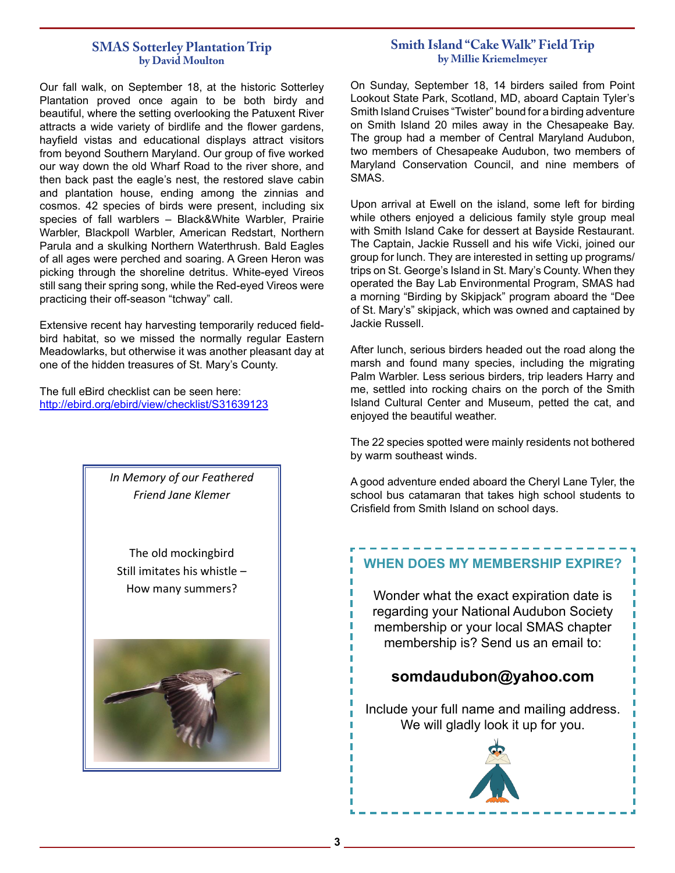# **SMAS Sotterley Plantation Trip by David Moulton**

Our fall walk, on September 18, at the historic Sotterley Plantation proved once again to be both birdy and beautiful, where the setting overlooking the Patuxent River attracts a wide variety of birdlife and the flower gardens, hayfield vistas and educational displays attract visitors from beyond Southern Maryland. Our group of five worked our way down the old Wharf Road to the river shore, and then back past the eagle's nest, the restored slave cabin and plantation house, ending among the zinnias and cosmos. 42 species of birds were present, including six species of fall warblers – Black&White Warbler, Prairie Warbler, Blackpoll Warbler, American Redstart, Northern Parula and a skulking Northern Waterthrush. Bald Eagles of all ages were perched and soaring. A Green Heron was picking through the shoreline detritus. White-eyed Vireos still sang their spring song, while the Red-eyed Vireos were practicing their off-season "tchway" call.

Extensive recent hay harvesting temporarily reduced fieldbird habitat, so we missed the normally regular Eastern Meadowlarks, but otherwise it was another pleasant day at one of the hidden treasures of St. Mary's County.

The full eBird checklist can be seen here: http://ebird.org/ebird/view/checklist/S31639123



The old mockingbird Still imitates his whistle – How many summers?



# **Smith Island "Cake Walk" Field Trip by Millie Kriemelmeyer**

On Sunday, September 18, 14 birders sailed from Point Lookout State Park, Scotland, MD, aboard Captain Tyler's Smith Island Cruises "Twister" bound for a birding adventure on Smith Island 20 miles away in the Chesapeake Bay. The group had a member of Central Maryland Audubon, two members of Chesapeake Audubon, two members of Maryland Conservation Council, and nine members of SMAS.

Upon arrival at Ewell on the island, some left for birding while others enjoyed a delicious family style group meal with Smith Island Cake for dessert at Bayside Restaurant. The Captain, Jackie Russell and his wife Vicki, joined our group for lunch. They are interested in setting up programs/ trips on St. George's Island in St. Mary's County. When they operated the Bay Lab Environmental Program, SMAS had a morning "Birding by Skipjack" program aboard the "Dee of St. Mary's" skipjack, which was owned and captained by Jackie Russell.

After lunch, serious birders headed out the road along the marsh and found many species, including the migrating Palm Warbler. Less serious birders, trip leaders Harry and me, settled into rocking chairs on the porch of the Smith Island Cultural Center and Museum, petted the cat, and enjoyed the beautiful weather.

The 22 species spotted were mainly residents not bothered by warm southeast winds.

A good adventure ended aboard the Cheryl Lane Tyler, the school bus catamaran that takes high school students to Crisfield from Smith Island on school days.

# **WHEN DOES MY MEMBERSHIP EXPIRE?**

Wonder what the exact expiration date is regarding your National Audubon Society membership or your local SMAS chapter membership is? Send us an email to:

# **somdaudubon@yahoo.com somdaudubon@yahoo.com**

Include your full name and mailing address. We e your run name and maning ad<br>We will gladly look it up for you. Include your full name and mailing address.

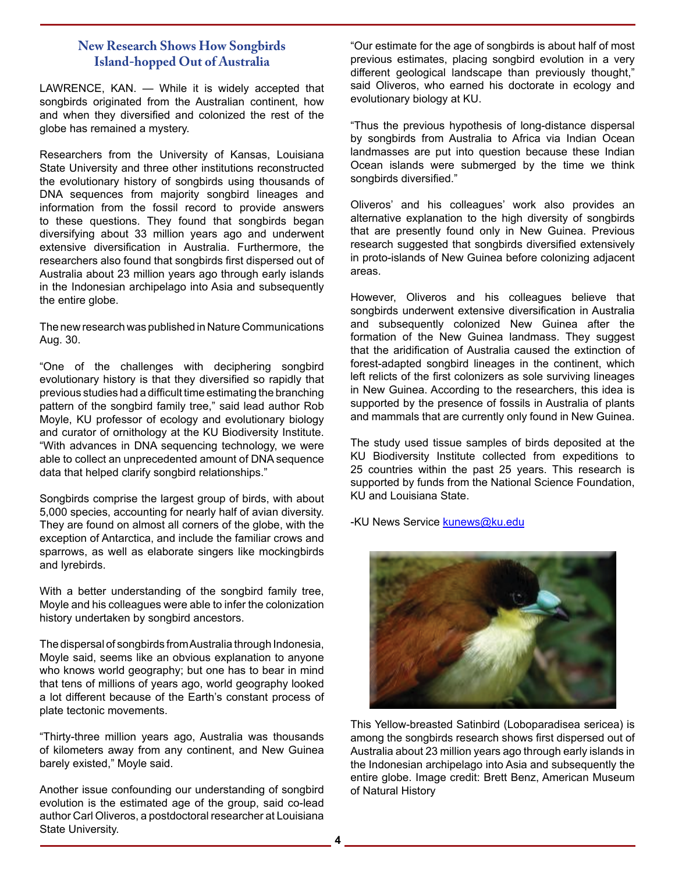# **New Research Shows How Songbirds Island-hopped Out of Australia**

LAWRENCE, KAN. — While it is widely accepted that songbirds originated from the Australian continent, how and when they diversified and colonized the rest of the globe has remained a mystery.

Researchers from the University of Kansas, Louisiana State University and three other institutions reconstructed the evolutionary history of songbirds using thousands of DNA sequences from majority songbird lineages and information from the fossil record to provide answers to these questions. They found that songbirds began diversifying about 33 million years ago and underwent extensive diversification in Australia. Furthermore, the researchers also found that songbirds first dispersed out of Australia about 23 million years ago through early islands in the Indonesian archipelago into Asia and subsequently the entire globe.

The new research was published in Nature Communications Aug. 30.

"One of the challenges with deciphering songbird evolutionary history is that they diversified so rapidly that previous studies had a difficult time estimating the branching pattern of the songbird family tree," said lead author Rob Moyle, KU professor of ecology and evolutionary biology and curator of ornithology at the KU Biodiversity Institute. "With advances in DNA sequencing technology, we were able to collect an unprecedented amount of DNA sequence data that helped clarify songbird relationships."

Songbirds comprise the largest group of birds, with about 5,000 species, accounting for nearly half of avian diversity. They are found on almost all corners of the globe, with the exception of Antarctica, and include the familiar crows and sparrows, as well as elaborate singers like mockingbirds and lyrebirds.

With a better understanding of the songbird family tree, Moyle and his colleagues were able to infer the colonization history undertaken by songbird ancestors.

The dispersal of songbirds from Australia through Indonesia, Moyle said, seems like an obvious explanation to anyone who knows world geography; but one has to bear in mind that tens of millions of years ago, world geography looked a lot different because of the Earth's constant process of plate tectonic movements.

"Thirty-three million years ago, Australia was thousands of kilometers away from any continent, and New Guinea barely existed," Moyle said.

Another issue confounding our understanding of songbird evolution is the estimated age of the group, said co-lead author Carl Oliveros, a postdoctoral researcher at Louisiana State University.

"Our estimate for the age of songbirds is about half of most previous estimates, placing songbird evolution in a very different geological landscape than previously thought," said Oliveros, who earned his doctorate in ecology and evolutionary biology at KU.

"Thus the previous hypothesis of long-distance dispersal by songbirds from Australia to Africa via Indian Ocean landmasses are put into question because these Indian Ocean islands were submerged by the time we think songbirds diversified."

Oliveros' and his colleagues' work also provides an alternative explanation to the high diversity of songbirds that are presently found only in New Guinea. Previous research suggested that songbirds diversified extensively in proto-islands of New Guinea before colonizing adjacent areas.

However, Oliveros and his colleagues believe that songbirds underwent extensive diversification in Australia and subsequently colonized New Guinea after the formation of the New Guinea landmass. They suggest that the aridification of Australia caused the extinction of forest-adapted songbird lineages in the continent, which left relicts of the first colonizers as sole surviving lineages in New Guinea. According to the researchers, this idea is supported by the presence of fossils in Australia of plants and mammals that are currently only found in New Guinea.

The study used tissue samples of birds deposited at the KU Biodiversity Institute collected from expeditions to 25 countries within the past 25 years. This research is supported by funds from the National Science Foundation, KU and Louisiana State.

-KU News Service **kunews@ku.edu** 



This Yellow-breasted Satinbird (Loboparadisea sericea) is among the songbirds research shows first dispersed out of Australia about 23 million years ago through early islands in the Indonesian archipelago into Asia and subsequently the entire globe. Image credit: Brett Benz, American Museum of Natural History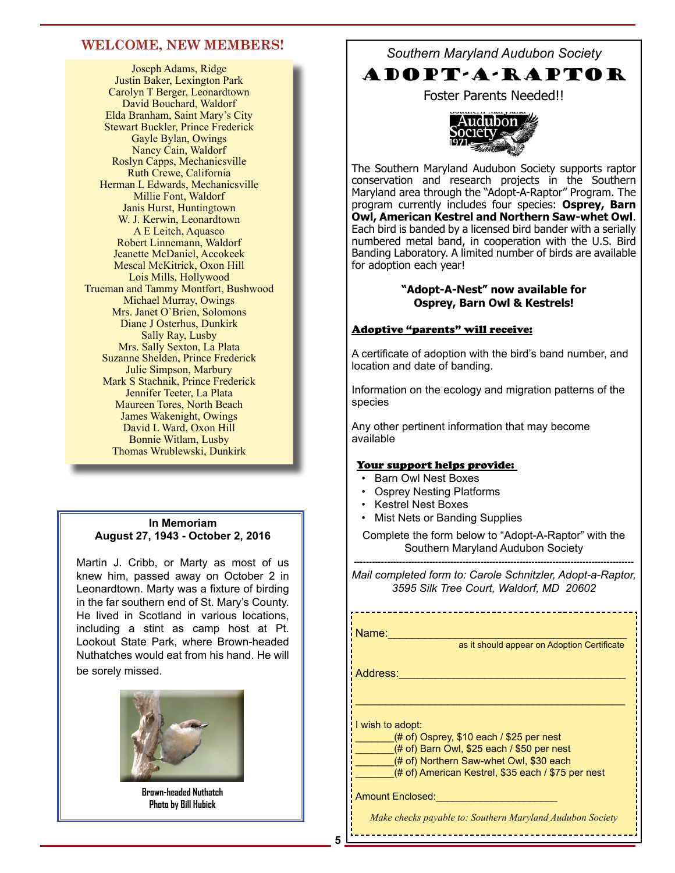# **WELCOME, NEW MEMBERS!**

Joseph Adams, Ridge Justin Baker, Lexington Park Carolyn T Berger, Leonardtown David Bouchard, Waldorf Elda Branham, Saint Mary's City Stewart Buckler, Prince Frederick Gayle Bylan, Owings Nancy Cain, Waldorf Roslyn Capps, Mechanicsville Ruth Crewe, California Herman L Edwards, Mechanicsville Millie Font, Waldorf Janis Hurst, Huntingtown W. J. Kerwin, Leonardtown A E Leitch, Aquasco Robert Linnemann, Waldorf Jeanette McDaniel, Accokeek Mescal McKitrick, Oxon Hill Lois Mills, Hollywood Trueman and Tammy Montfort, Bushwood Michael Murray, Owings Mrs. Janet O`Brien, Solomons Diane J Osterhus, Dunkirk Sally Ray, Lusby Mrs. Sally Sexton, La Plata Suzanne Shelden, Prince Frederick Julie Simpson, Marbury Mark S Stachnik, Prince Frederick Jennifer Teeter, La Plata Maureen Tores, North Beach James Wakenight, Owings David L Ward, Oxon Hill Bonnie Witlam, Lusby Thomas Wrublewski, Dunkirk

#### **In Memoriam August 27, 1943 - October 2, 2016**

Martin J. Cribb, or Marty as most of us knew him, passed away on October 2 in Leonardtown. Marty was a fixture of birding in the far southern end of St. Mary's County. He lived in Scotland in various locations, including a stint as camp host at Pt. Lookout State Park, where Brown-headed Nuthatches would eat from his hand. He will be sorely missed.



**Brown-headed Nuthatch Photo by Bill Hubick**

*Southern Maryland Audubon Society*

# ADOPT-A-RAPTOR

Foster Parents Needed!!



The Southern Maryland Audubon Society supports raptor conservation and research projects in the Southern Maryland area through the "Adopt-A-Raptor" Program. The program currently includes four species: **Osprey, Barn Owl, American Kestrel and Northern Saw-whet Owl**. Each bird is banded by a licensed bird bander with a serially numbered metal band, in cooperation with the U.S. Bird Banding Laboratory. A limited number of birds are available for adoption each year!

#### **"Adopt-A-Nest" now available for Osprey, Barn Owl & Kestrels!**

#### Adoptive "parents" will receive:

A certificate of adoption with the bird's band number, and location and date of banding.

Information on the ecology and migration patterns of the species

Any other pertinent information that may become available

#### Your support helps provide:

- Barn Owl Nest Boxes
- Osprey Nesting Platforms
- Kestrel Nest Boxes
- Mist Nets or Banding Supplies

Complete the form below to "Adopt-A-Raptor" with the Southern Maryland Audubon Society

--------------------------------------------------------------------------------------------- *Mail completed form to: Carole Schnitzler, Adopt-a-Raptor, 3595 Silk Tree Court, Waldorf, MD 20602*

Name:\_\_\_\_\_\_\_\_\_\_\_\_\_\_\_\_\_\_\_\_\_\_\_\_\_\_\_\_\_\_\_\_\_\_\_\_\_\_\_

as it should appear on Adoption Certificate

Address:\_\_\_\_\_\_\_\_\_\_\_\_\_\_\_\_\_\_\_\_\_\_\_\_\_\_\_\_\_\_\_\_\_\_\_\_\_

I wish to adopt:

 $_{(4)}$  of) Osprey, \$10 each / \$25 per nest

 $(# of)$  Barn Owl, \$25 each / \$50 per nest (# of) Northern Saw-whet Owl, \$30 each

(# of) American Kestrel, \$35 each / \$75 per nest

\_\_\_\_\_\_\_\_\_\_\_\_\_\_\_\_\_\_\_\_\_\_\_\_\_\_\_\_\_\_\_\_\_\_\_\_\_\_\_\_\_\_\_\_

Amount Enclosed:

*Make checks payable to: Southern Maryland Audubon Society*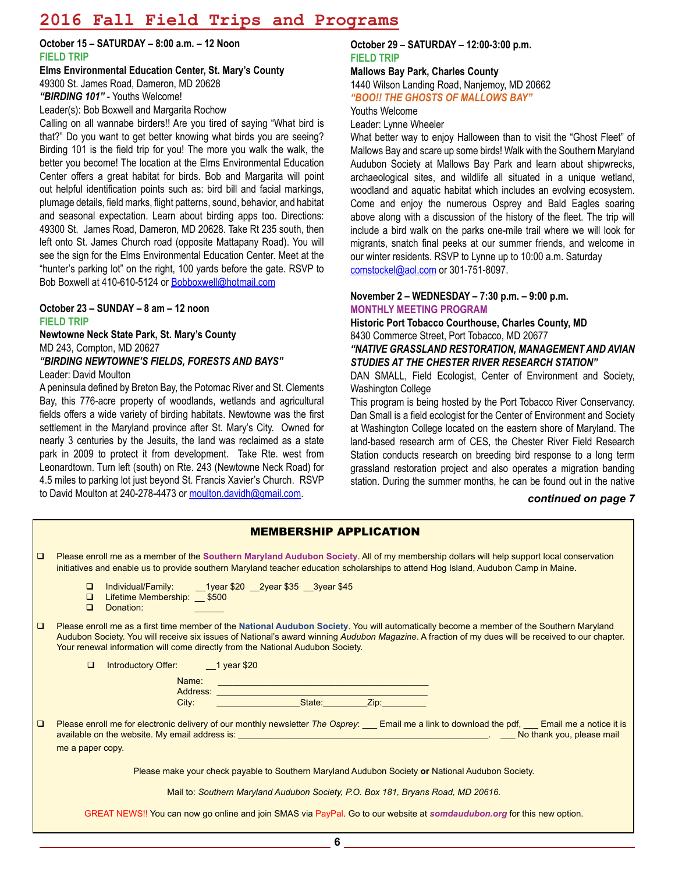# **2016 Fall Field Trips and Programs**

**October 15 – SATURDAY – 8:00 a.m. – 12 Noon FIELD TRIP**

**Elms Environmental Education Center, St. Mary's County** 49300 St. James Road, Dameron, MD 20628 *"BIRDING 101"* - Youths Welcome! Leader(s): Bob Boxwell and Margarita Rochow

Calling on all wannabe birders!! Are you tired of saying "What bird is that?" Do you want to get better knowing what birds you are seeing? Birding 101 is the field trip for you! The more you walk the walk, the better you become! The location at the Elms Environmental Education Center offers a great habitat for birds. Bob and Margarita will point out helpful identification points such as: bird bill and facial markings, plumage details, field marks, flight patterns, sound, behavior, and habitat and seasonal expectation. Learn about birding apps too. Directions: 49300 St. James Road, Dameron, MD 20628. Take Rt 235 south, then left onto St. James Church road (opposite Mattapany Road). You will see the sign for the Elms Environmental Education Center. Meet at the "hunter's parking lot" on the right, 100 yards before the gate. RSVP to Bob Boxwell at 410-610-5124 or Bobboxwell@hotmail.com

#### **October 23 – SUNDAY – 8 am – 12 noon FIELD TRIP**

**Newtowne Neck State Park, St. Mary's County** MD 243, Compton, MD 20627 *"BIRDING NEWTOWNE'S FIELDS, FORESTS AND BAYS"*

Leader: David Moulton

A peninsula defined by Breton Bay, the Potomac River and St. Clements Bay, this 776-acre property of woodlands, wetlands and agricultural fields offers a wide variety of birding habitats. Newtowne was the first settlement in the Maryland province after St. Mary's City. Owned for nearly 3 centuries by the Jesuits, the land was reclaimed as a state park in 2009 to protect it from development. Take Rte. west from Leonardtown. Turn left (south) on Rte. 243 (Newtowne Neck Road) for 4.5 miles to parking lot just beyond St. Francis Xavier's Church. RSVP to David Moulton at 240-278-4473 or moulton.davidh@gmail.com.

#### **October 29 – SATURDAY – 12:00-3:00 p.m. FIELD TRIP**

**Mallows Bay Park, Charles County** 1440 Wilson Landing Road, Nanjemoy, MD 20662 *"BOO!! THE GHOSTS OF MALLOWS BAY"*

Youths Welcome

Leader: Lynne Wheeler

What better way to enjoy Halloween than to visit the "Ghost Fleet" of Mallows Bay and scare up some birds! Walk with the Southern Maryland Audubon Society at Mallows Bay Park and learn about shipwrecks, archaeological sites, and wildlife all situated in a unique wetland, woodland and aquatic habitat which includes an evolving ecosystem. Come and enjoy the numerous Osprey and Bald Eagles soaring above along with a discussion of the history of the fleet. The trip will include a bird walk on the parks one-mile trail where we will look for migrants, snatch final peeks at our summer friends, and welcome in our winter residents. RSVP to Lynne up to 10:00 a.m. Saturday comstockel@aol.com or 301-751-8097.

#### **November 2 – WEDNESDAY – 7:30 p.m. – 9:00 p.m. MONTHLY MEETING PROGRAM**

**Historic Port Tobacco Courthouse, Charles County, MD** 8430 Commerce Street, Port Tobacco, MD 20677

*"NATIVE GRASSLAND RESTORATION, MANAGEMENT AND AVIAN STUDIES AT THE CHESTER RIVER RESEARCH STATION"*

DAN SMALL, Field Ecologist, Center of Environment and Society, Washington College

This program is being hosted by the Port Tobacco River Conservancy. Dan Small is a field ecologist for the Center of Environment and Society at Washington College located on the eastern shore of Maryland. The land-based research arm of CES, the Chester River Field Research Station conducts research on breeding bird response to a long term grassland restoration project and also operates a migration banding station. During the summer months, he can be found out in the native

#### *continued on page 7*

|        | <b>MEMBERSHIP APPLICATION</b>                                                                                                                                                                                                                                                                                                                                                                           |
|--------|---------------------------------------------------------------------------------------------------------------------------------------------------------------------------------------------------------------------------------------------------------------------------------------------------------------------------------------------------------------------------------------------------------|
| $\Box$ | Please enroll me as a member of the Southern Maryland Audubon Society. All of my membership dollars will help support local conservation<br>initiatives and enable us to provide southern Maryland teacher education scholarships to attend Hog Island, Audubon Camp in Maine.                                                                                                                          |
|        | Individual/Family: 1year \$20 2year \$35 3year \$45<br>$\Box$<br>Lifetime Membership: __ \$500<br>$\Box$<br>Donation:<br>$\Box$                                                                                                                                                                                                                                                                         |
| $\Box$ | Please enroll me as a first time member of the National Audubon Society. You will automatically become a member of the Southern Maryland<br>Audubon Society. You will receive six issues of National's award winning Audubon Magazine. A fraction of my dues will be received to our chapter.<br>Your renewal information will come directly from the National Audubon Society.                         |
|        | Introductory Offer: 1 year \$20<br>$\Box$                                                                                                                                                                                                                                                                                                                                                               |
|        | Name:                                                                                                                                                                                                                                                                                                                                                                                                   |
|        |                                                                                                                                                                                                                                                                                                                                                                                                         |
| $\Box$ | Please enroll me for electronic delivery of our monthly newsletter The Osprey: Email me a link to download the pdf, Email me a notice it is<br>available on the website. My email address is: <b>entity and the second control of the second control of the second control of the second control of the second control of the second control of the second control of the secon</b><br>me a paper copy. |
|        | Please make your check payable to Southern Maryland Audubon Society or National Audubon Society.                                                                                                                                                                                                                                                                                                        |
|        | Mail to: Southern Maryland Audubon Society, P.O. Box 181, Bryans Road, MD 20616.                                                                                                                                                                                                                                                                                                                        |
|        | GREAT NEWS!! You can now go online and join SMAS via PayPal. Go to our website at somdaudubon.org for this new option.                                                                                                                                                                                                                                                                                  |
|        | c                                                                                                                                                                                                                                                                                                                                                                                                       |